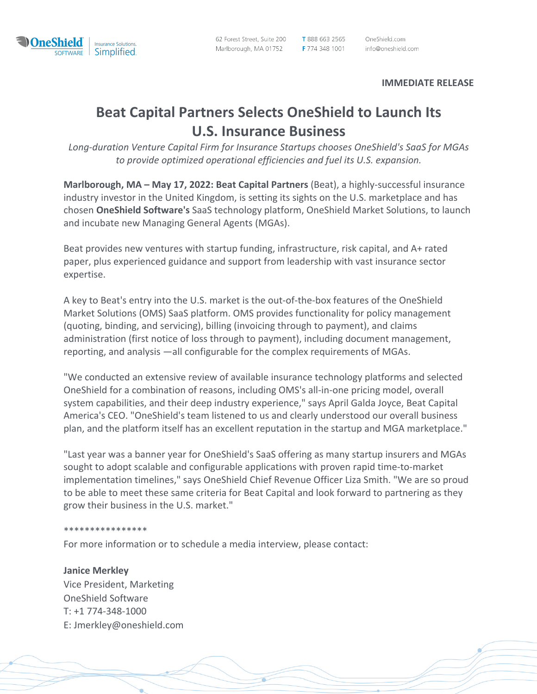

62 Forest Street, Suite 200 Marlborough, MA 01752 T 888 663 2565 OneShield.com F 774 348 1001 info@oneshield.com

**IMMEDIATE RELEASE**

# **Beat Capital Partners Selects OneShield to Launch Its U.S. Insurance Business**

*Long-duration Venture Capital Firm for Insurance Startups chooses OneShield's SaaS for MGAs to provide optimized operational efficiencies and fuel its U.S. expansion.*

**Marlborough, MA – May 17, 2022: Beat Capital Partners** (Beat), a highly-successful insurance industry investor in the United Kingdom, is setting its sights on the U.S. marketplace and has chosen **OneShield Software's** SaaS technology platform, OneShield Market Solutions, to launch and incubate new Managing General Agents (MGAs).

Beat provides new ventures with startup funding, infrastructure, risk capital, and A+ rated paper, plus experienced guidance and support from leadership with vast insurance sector expertise.

A key to Beat's entry into the U.S. market is the out-of-the-box features of the OneShield Market Solutions (OMS) SaaS platform. OMS provides functionality for policy management (quoting, binding, and servicing), billing (invoicing through to payment), and claims administration (first notice of loss through to payment), including document management, reporting, and analysis —all configurable for the complex requirements of MGAs.

"We conducted an extensive review of available insurance technology platforms and selected OneShield for a combination of reasons, including OMS's all-in-one pricing model, overall system capabilities, and their deep industry experience," says April Galda Joyce, Beat Capital America's CEO. "OneShield's team listened to us and clearly understood our overall business plan, and the platform itself has an excellent reputation in the startup and MGA marketplace."

"Last year was a banner year for OneShield's SaaS offering as many startup insurers and MGAs sought to adopt scalable and configurable applications with proven rapid time-to-market implementation timelines," says OneShield Chief Revenue Officer Liza Smith. "We are so proud to be able to meet these same criteria for Beat Capital and look forward to partnering as they grow their business in the U.S. market."

#### \*\*\*\*\*\*\*\*\*\*\*\*\*\*\*\*

For more information or to schedule a media interview, please contact:

### **Janice Merkley**

Vice President, Marketing OneShield Software T: +1 774-348-1000 E: Jmerkley@oneshield.com